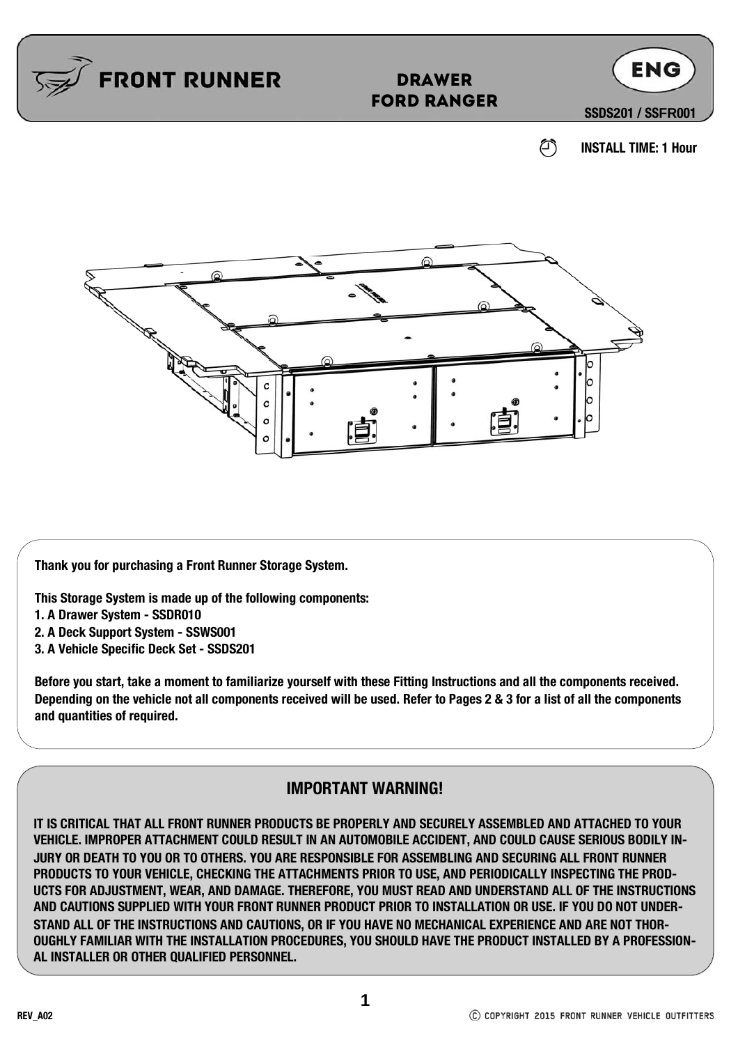

**Thank you for purchasing a Front Runner Storage System.**

**This Storage System is made up of the following components:**

o

- **1. A Drawer System SSDR010**
- **2. A Deck Support System SSWS001**
- **3. A Vehicle Specific Deck Set SSDS201**

**Before you start, take a moment to familiarize yourself with these Fitting Instructions and all the components received. Depending on the vehicle not all components received will be used. Refer to Pages 2 & 3 for a list of all the components and quantities of required.** 

#### **IMPORTANT WARNING!**

**IT IS CRITICAL THAT ALL FRONT RUNNER PRODUCTS BE PROPERLY AND SECURELY ASSEMBLED AND ATTACHED TO YOUR VEHICLE. IMPROPER ATTACHMENT COULD RESULT IN AN AUTOMOBILE ACCIDENT, AND COULD CAUSE SERIOUS BODILY IN-JURY OR DEATH TO YOU OR TO OTHERS. YOU ARE RESPONSIBLE FOR ASSEMBLING AND SECURING ALL FRONT RUNNER PRODUCTS TO YOUR VEHICLE, CHECKING THE ATTACHMENTS PRIOR TO USE, AND PERIODICALLY INSPECTING THE PROD-UCTS FOR ADJUSTMENT, WEAR, AND DAMAGE. THEREFORE, YOU MUST READ AND UNDERSTAND ALL OF THE INSTRUCTIONS AND CAUTIONS SUPPLIED WITH YOUR FRONT RUNNER PRODUCT PRIOR TO INSTALLATION OR USE. IF YOU DO NOT UNDER-STAND ALL OF THE INSTRUCTIONS AND CAUTIONS, OR IF YOU HAVE NO MECHANICAL EXPERIENCE AND ARE NOT THOR-OUGHLY FAMILIAR WITH THE INSTALLATION PROCEDURES, YOU SHOULD HAVE THE PRODUCT INSTALLED BY A PROFESSION-AL INSTALLER OR OTHER QUALIFIED PERSONNEL.**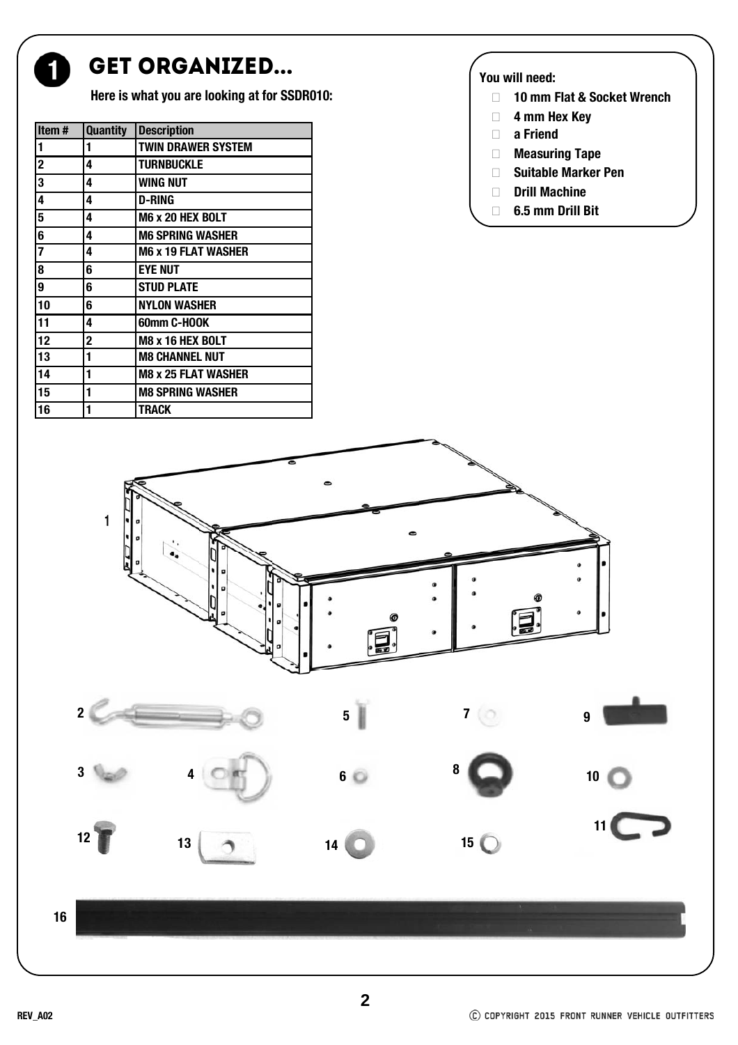

#### GET ORGANIZED...

**Here is what you are looking at for SSDR010:**

| Item#                   | <b>Quantity</b> | <b>Description</b>         |
|-------------------------|-----------------|----------------------------|
| 1                       | 1               | <b>TWIN DRAWER SYSTEM</b>  |
| $\overline{\mathbf{2}}$ | 4               | <b>TURNBUCKLE</b>          |
| 3                       | 4               | WING NUT                   |
| 4                       | 4               | <b>D-RING</b>              |
| 5                       | 4               | <b>M6 x 20 HEX BOLT</b>    |
| 6                       | 4               | <b>M6 SPRING WASHER</b>    |
|                         | 4               | <b>M6 x 19 FLAT WASHER</b> |
| $\overline{\mathbf{8}}$ | 6               | <b>EYE NUT</b>             |
| 9                       | 6               | <b>STUD PLATE</b>          |
| 10                      | 6               | <b>NYLON WASHER</b>        |
| 11                      | 4               | 60mm C-HOOK                |
| 12                      | $\mathbf 2$     | <b>M8 x 16 HEX BOLT</b>    |
| 13                      | 1               | <b>M8 CHANNEL NUT</b>      |
| 14                      | 1               | <b>M8 x 25 FLAT WASHER</b> |
| 15                      | 1               | <b>M8 SPRING WASHER</b>    |
| 16                      | 1               | TRACK                      |

#### **You will need:**

- **10 mm Flat & Socket Wrench**
- **4 mm Hex Key**
- **a Friend**
- **Measuring Tape**
- **Suitable Marker Pen**
- **Drill Machine**
- **6.5 mm Drill Bit**







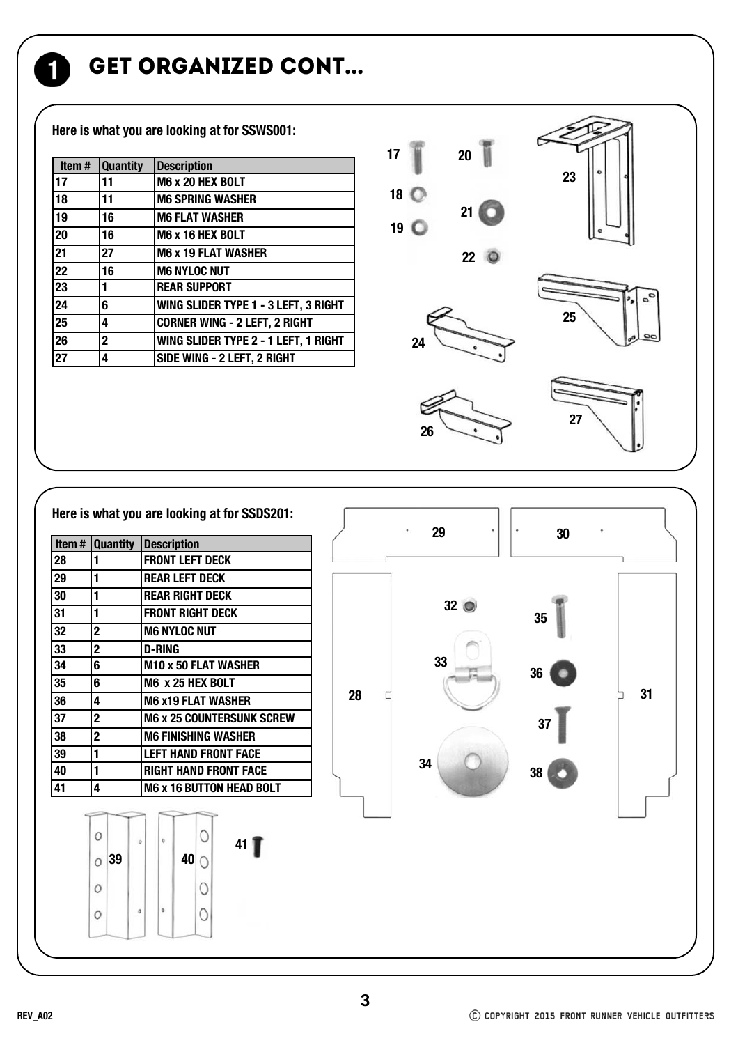GET ORGANIZED CONT...

**Here is what you are looking at for SSWS001:**

| Item#           | <b>Quantity</b> | <b>Description</b>                   |
|-----------------|-----------------|--------------------------------------|
| 17              | 11              | M6 x 20 HEX BOLT                     |
| 18              | 11              | <b>M6 SPRING WASHER</b>              |
| 19              | 16              | <b>M6 FLAT WASHER</b>                |
| 20              | 16              | M6 x 16 HEX BOLT                     |
| $\overline{21}$ | 27              | <b>M6 x 19 FLAT WASHER</b>           |
| 22              | 16              | <b>M6 NYLOC NUT</b>                  |
| 23              | 1               | <b>REAR SUPPORT</b>                  |
| 24              | 6               | WING SLIDER TYPE 1 - 3 LEFT, 3 RIGHT |
| 25              | 4               | <b>CORNER WING - 2 LEFT, 2 RIGHT</b> |
| 26              | $\mathbf{2}$    | WING SLIDER TYPE 2 - 1 LEFT, 1 RIGHT |
| 27              | 4               | SIDE WING - 2 LEFT, 2 RIGHT          |



| <b>Item # Quantity Description</b> |                         |    |         |                                               |                             |          |  |                   |  |  |  |    |    | 29              |  |     | 30 |  |    |  |
|------------------------------------|-------------------------|----|---------|-----------------------------------------------|-----------------------------|----------|--|-------------------|--|--|--|----|----|-----------------|--|-----|----|--|----|--|
| 28                                 | 1                       |    |         |                                               | <b>FRONT LEFT DECK</b>      |          |  |                   |  |  |  |    |    |                 |  |     |    |  |    |  |
| 29                                 |                         |    |         |                                               | <b>REAR LEFT DECK</b>       |          |  |                   |  |  |  |    |    |                 |  |     |    |  |    |  |
| 30                                 | 1                       |    |         | <b>REAR RIGHT DECK</b>                        |                             |          |  |                   |  |  |  |    |    | 32 <sub>o</sub> |  |     |    |  |    |  |
| 31                                 | 1                       |    |         | <b>FRONT RIGHT DECK</b>                       |                             |          |  |                   |  |  |  |    |    |                 |  | 35  |    |  |    |  |
| 32                                 | $\overline{\mathbf{2}}$ |    |         | <b>M6 NYLOC NUT</b>                           |                             |          |  |                   |  |  |  |    |    |                 |  |     |    |  |    |  |
| 33                                 | $\overline{2}$          |    |         |                                               | <b>D-RING</b>               |          |  |                   |  |  |  |    |    |                 |  |     |    |  |    |  |
| 34                                 | $\overline{\mathbf{6}}$ |    |         |                                               | <b>M10 x 50 FLAT WASHER</b> |          |  |                   |  |  |  |    |    | 33              |  | 36  |    |  |    |  |
| 35                                 | 6                       |    |         | M6 x 25 HEX BOLT<br><b>M6 x19 FLAT WASHER</b> |                             |          |  |                   |  |  |  |    |    |                 |  |     |    |  |    |  |
| 36                                 | 4                       |    |         |                                               |                             |          |  |                   |  |  |  | 28 |    |                 |  |     |    |  | 31 |  |
| 37                                 | $\overline{\mathbf{2}}$ |    |         | <b>M6 x 25 COUNTERSUNK SCREW</b>              |                             |          |  |                   |  |  |  |    |    |                 |  |     | 37 |  |    |  |
| 38                                 | $\mathbf 2$             |    |         | <b>M6 FINISHING WASHER</b>                    |                             |          |  |                   |  |  |  |    |    |                 |  |     |    |  |    |  |
| 39                                 | 1                       |    |         | <b>LEFT HAND FRONT FACE</b>                   |                             |          |  |                   |  |  |  |    |    |                 |  |     |    |  |    |  |
| 40                                 | 1                       |    |         | <b>RIGHT HAND FRONT FACE</b>                  |                             |          |  |                   |  |  |  |    | 34 |                 |  | 38( |    |  |    |  |
| 41                                 | 4                       |    |         | <b>M6 x 16 BUTTON HEAD BOLT</b>               |                             |          |  |                   |  |  |  |    |    |                 |  |     |    |  |    |  |
|                                    |                         |    |         |                                               |                             |          |  |                   |  |  |  |    |    |                 |  |     |    |  |    |  |
|                                    | 0                       |    | $\circ$ |                                               | $\mathbb{O}$                |          |  | 41 $\blacksquare$ |  |  |  |    |    |                 |  |     |    |  |    |  |
|                                    | $\circ$                 | 39 |         |                                               | 40                          | $\Omega$ |  |                   |  |  |  |    |    |                 |  |     |    |  |    |  |
|                                    | 0                       |    |         |                                               |                             | O        |  |                   |  |  |  |    |    |                 |  |     |    |  |    |  |
|                                    | 0                       |    | $\circ$ | $\mathbf{0}$                                  |                             | 0        |  |                   |  |  |  |    |    |                 |  |     |    |  |    |  |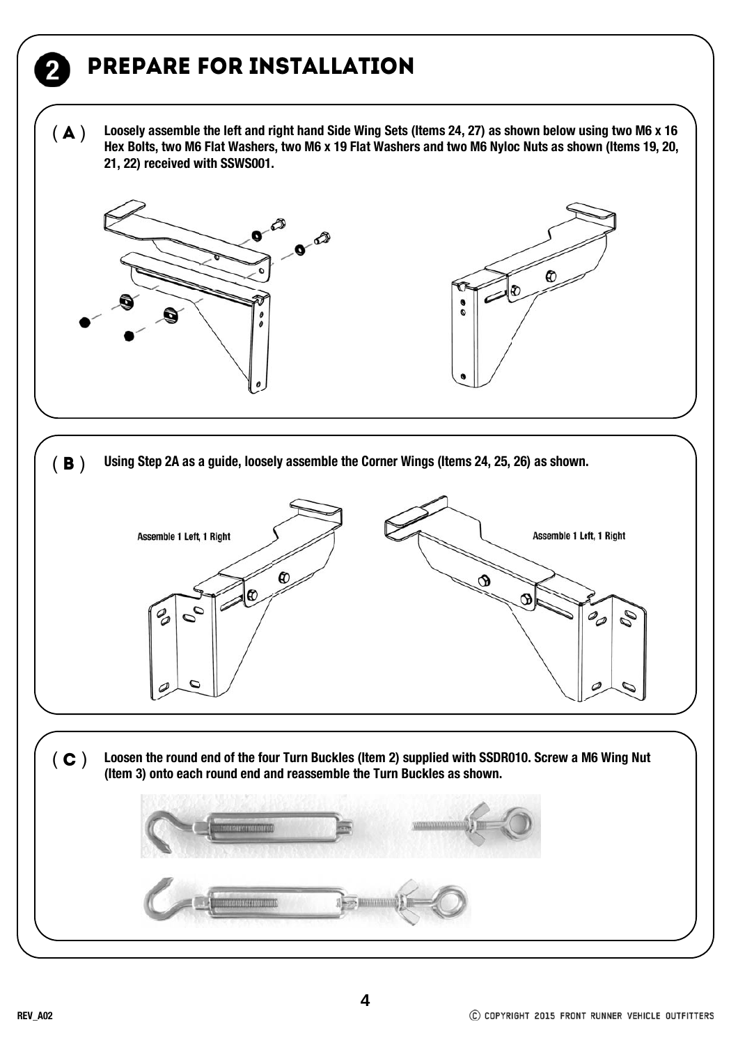## Prepare for installation

**Loosely assemble the left and right hand Side Wing Sets (Items 24, 27) as shown below using two M6 x 16 Hex Bolts, two M6 Flat Washers, two M6 x 19 Flat Washers and two M6 Nyloc Nuts as shown (Items 19, 20, 21, 22) received with SSWS001.**  $(A)$ 





( **B** ) Using Step 2A as a guide, loosely assemble the Corner Wings (Items 24, 25, 26) as shown. Assemble 1 Left, 1 Right Assemble 1 Left, 1 Right  $\pmb{\mathcal{R}}$ ൹ O  $\mathcal{O}_{\mathcal{O}}$ 00  $\mathscr{D}_{\mathscr{D}}$ P

( C ) Loosen the round end of the four Turn Buckles (Item 2) supplied with SSDR010. Screw a M6 Wing Nut (Item 3) onto each round end and reassemble the Turn Buckles as shown.



C COPYRIGHT 2015 FRONT RUNNER VEHICLE OUTFITTERS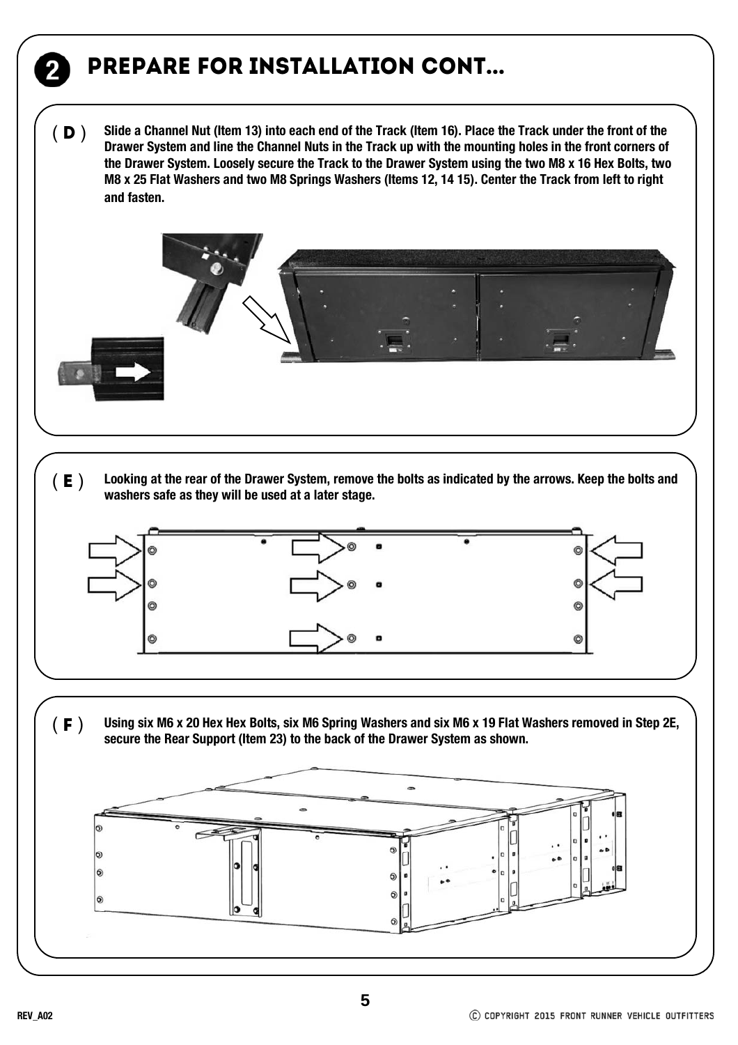# Prepare for installation cont...

**Slide a Channel Nut (Item 13) into each end of the Track (Item 16). Place the Track under the front of the Drawer System and line the Channel Nuts in the Track up with the mounting holes in the front corners of the Drawer System. Loosely secure the Track to the Drawer System using the two M8 x 16 Hex Bolts, two M8 x 25 Flat Washers and two M8 Springs Washers (Items 12, 14 15). Center the Track from left to right and fasten.**   $(D)$ 



 $( E )$  Looking at the rear of the Drawer System, remove the bolts as indicated by the arrows. Keep the bolts and **washers safe as they will be used at a later stage.**



( F ) **Using six M6 x 20 Hex Hex Bolts, six M6 Spring Washers and six M6 x 19 Flat Washers removed in Step 2E, secure the Rear Support (Item 23) to the back of the Drawer System as shown.**

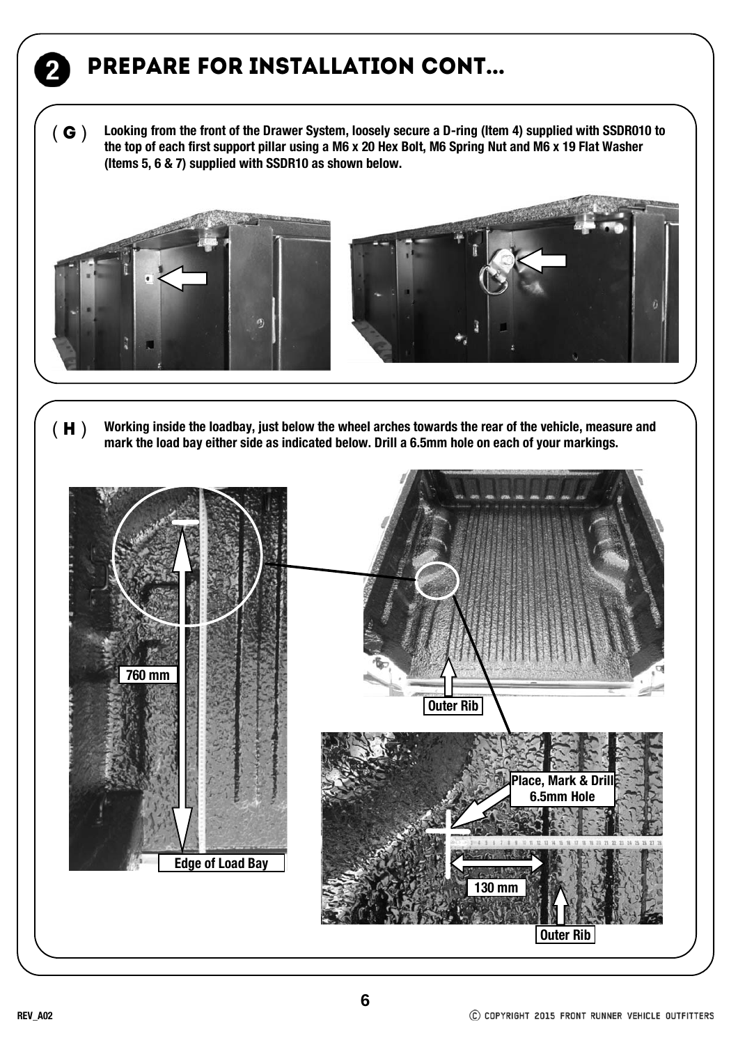## Prepare for installation cont...

**Looking from the front of the Drawer System, loosely secure a D-ring (Item 4) supplied with SSDR010 to the top of each first support pillar using a M6 x 20 Hex Bolt, M6 Spring Nut and M6 x 19 Flat Washer (Items 5, 6 & 7) supplied with SSDR10 as shown below.**   $(G)$ 



( H ) **Working inside the loadbay, just below the wheel arches towards the rear of the vehicle, measure and mark the load bay either side as indicated below. Drill a 6.5mm hole on each of your markings.**

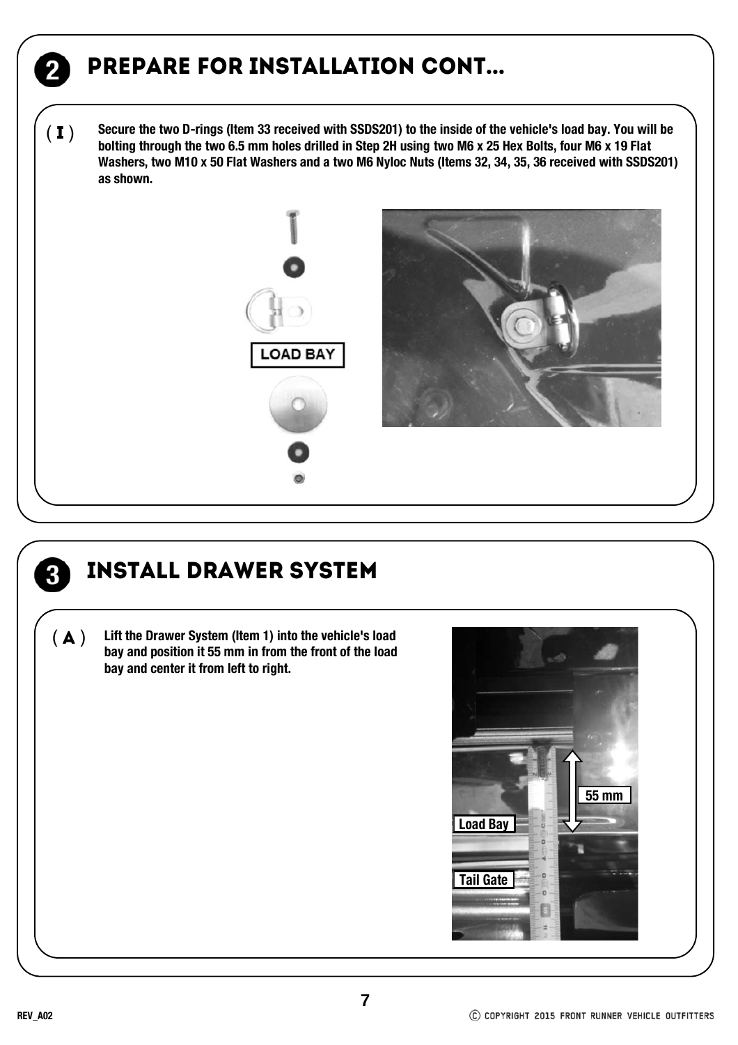### Prepare for installation cont...

**Secure the two D-rings (Item 33 received with SSDS201) to the inside of the vehicle's load bay. You will be bolting through the two 6.5 mm holes drilled in Step 2H using two M6 x 25 Hex Bolts, four M6 x 19 Flat Washers, two M10 x 50 Flat Washers and a two M6 Nyloc Nuts (Items 32, 34, 35, 36 received with SSDS201) as shown.**  $(I)$ 





 $\overline{\mathbf{2}}$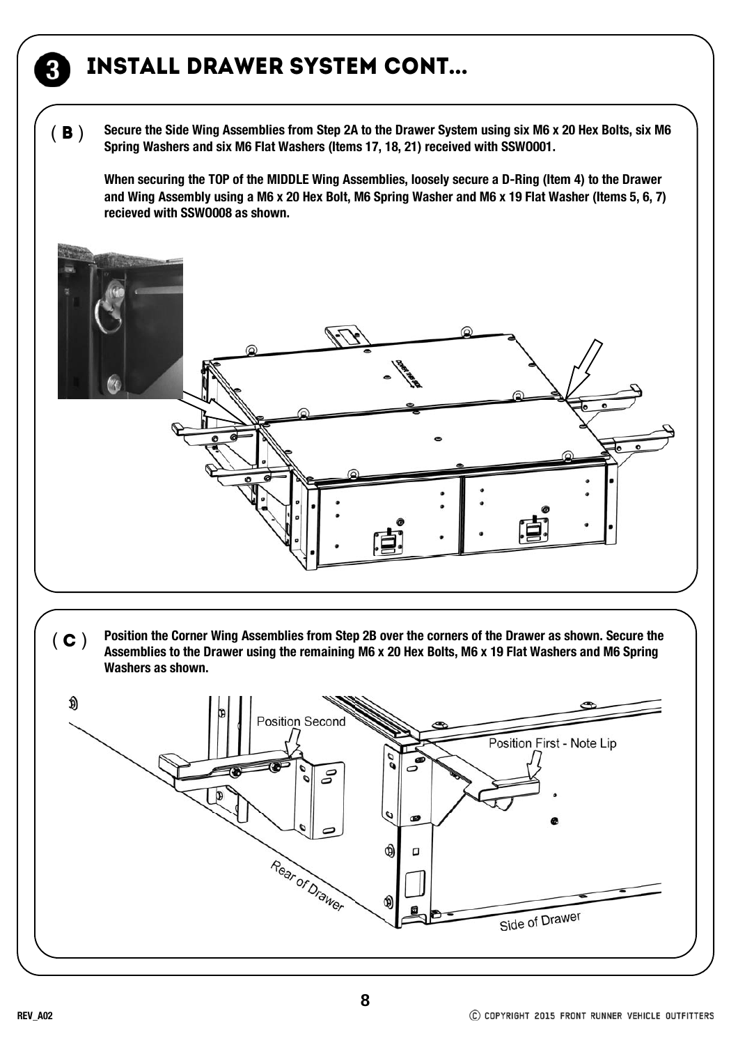#### Install Drawer System cont...

**Secure the Side Wing Assemblies from Step 2A to the Drawer System using six M6 x 20 Hex Bolts, six M6 Spring Washers and six M6 Flat Washers (Items 17, 18, 21) received with SSWO001.**  $(B)$ 

**When securing the TOP of the MIDDLE Wing Assemblies, loosely secure a D-Ring (Item 4) to the Drawer and Wing Assembly using a M6 x 20 Hex Bolt, M6 Spring Washer and M6 x 19 Flat Washer (Items 5, 6, 7) recieved with SSWO008 as shown.**



**Position the Corner Wing Assemblies from Step 2B over the corners of the Drawer as shown. Secure the Assemblies to the Drawer using the remaining M6 x 20 Hex Bolts, M6 x 19 Flat Washers and M6 Spring Washers as shown.**  $(C)$ 

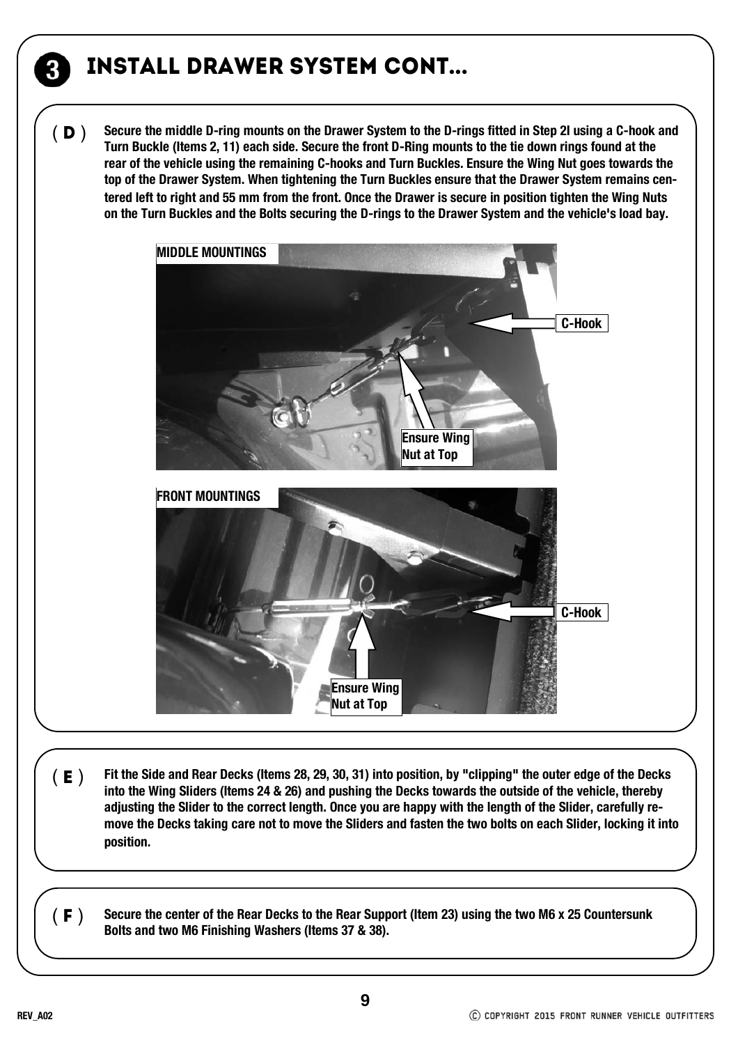#### Install Drawer System cont...

**Secure the middle D-ring mounts on the Drawer System to the D-rings fitted in Step 2I using a C-hook and Turn Buckle (Items 2, 11) each side. Secure the front D-Ring mounts to the tie down rings found at the rear of the vehicle using the remaining C-hooks and Turn Buckles. Ensure the Wing Nut goes towards the top of the Drawer System. When tightening the Turn Buckles ensure that the Drawer System remains centered left to right and 55 mm from the front. Once the Drawer is secure in position tighten the Wing Nuts on the Turn Buckles and the Bolts securing the D-rings to the Drawer System and the vehicle's load bay.**  $(D)$ 



(**E** ) Fit the Side and Rear Decks (Items 28, 29, 30, 31) into position, by "clipping" the outer edge of the Decks **into the Wing Sliders (Items 24 & 26) and pushing the Decks towards the outside of the vehicle, thereby adjusting the Slider to the correct length. Once you are happy with the length of the Slider, carefully remove the Decks taking care not to move the Sliders and fasten the two bolts on each Slider, locking it into position.**

(**F**) Secure the center of the Rear Decks to the Rear Support (Item 23) using the two M6 x 25 Countersunk<br>Bolts and two M6 Finishing Washers (Items 37 & 38).